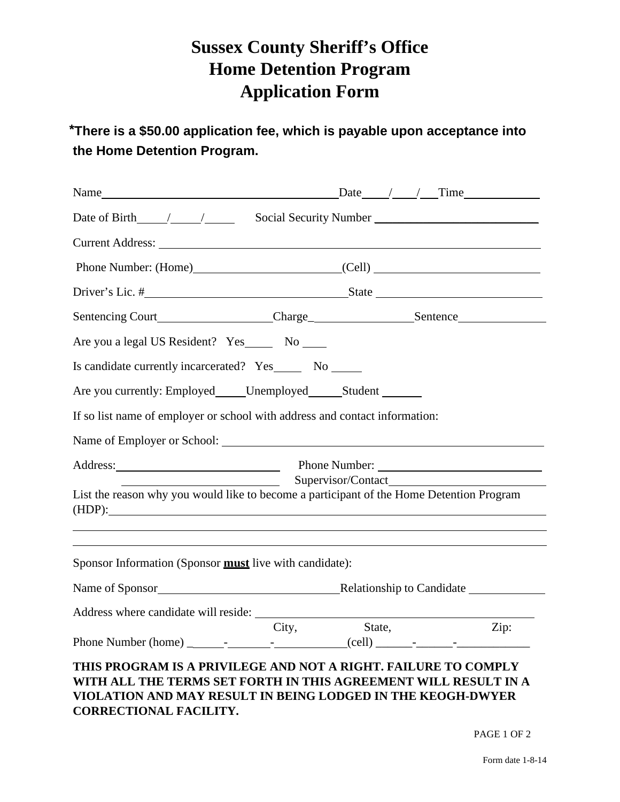## **Sussex County Sheriff's Office Home Detention Program Application Form**

\***Potential Candidates shall be required to have their sponsor report to the Home Detention**   $^{\ast}$ There is a \$50.00 application fee, which is payable upon acceptance into **the Home Detention Program.**  $\blacksquare$ 

|                                                                                                                                                                                                                                   | $\text{Date}$ / / Time                                                                                                                                                                                                         |        |  |      |  |  |  |
|-----------------------------------------------------------------------------------------------------------------------------------------------------------------------------------------------------------------------------------|--------------------------------------------------------------------------------------------------------------------------------------------------------------------------------------------------------------------------------|--------|--|------|--|--|--|
|                                                                                                                                                                                                                                   |                                                                                                                                                                                                                                |        |  |      |  |  |  |
|                                                                                                                                                                                                                                   |                                                                                                                                                                                                                                |        |  |      |  |  |  |
|                                                                                                                                                                                                                                   | Phone Number: (Home) (Cell)                                                                                                                                                                                                    |        |  |      |  |  |  |
|                                                                                                                                                                                                                                   |                                                                                                                                                                                                                                |        |  |      |  |  |  |
|                                                                                                                                                                                                                                   |                                                                                                                                                                                                                                |        |  |      |  |  |  |
| Are you a legal US Resident? Yes ______ No _____                                                                                                                                                                                  |                                                                                                                                                                                                                                |        |  |      |  |  |  |
| Is candidate currently incarcerated? Yes _______ No ______                                                                                                                                                                        |                                                                                                                                                                                                                                |        |  |      |  |  |  |
| Are you currently: Employed Unemployed Student                                                                                                                                                                                    |                                                                                                                                                                                                                                |        |  |      |  |  |  |
| If so list name of employer or school with address and contact information:                                                                                                                                                       |                                                                                                                                                                                                                                |        |  |      |  |  |  |
| Name of Employer or School: University of Employer or School:                                                                                                                                                                     |                                                                                                                                                                                                                                |        |  |      |  |  |  |
|                                                                                                                                                                                                                                   | Address: Phone Number: 2008. Phone Number: 2008. Phone Number: 2008. Phone Number: 2008. 2014. 2016. 2017. 2018. 2019. 2018. 2019. 2018. 2019. 2018. 2019. 2018. 2019. 2019. 2018. 2019. 2019. 2019. 2019. 2019. 2019. 2019. 2 |        |  |      |  |  |  |
| List the reason why you would like to become a participant of the Home Detention Program<br>(HDP):<br>the contract of the contract of the contract of the contract of the contract of the contract of the contract of             |                                                                                                                                                                                                                                |        |  |      |  |  |  |
| ,我们也不会有什么。""我们的人,我们也不会有什么?""我们的人,我们也不会有什么?""我们的人,我们也不会有什么?""我们的人,我们也不会有什么?""我们的人<br>Sponsor Information (Sponsor <b>must</b> live with candidate):                                                                                |                                                                                                                                                                                                                                |        |  |      |  |  |  |
|                                                                                                                                                                                                                                   |                                                                                                                                                                                                                                |        |  |      |  |  |  |
|                                                                                                                                                                                                                                   | City,                                                                                                                                                                                                                          | State, |  | Zip: |  |  |  |
| THIS PROGRAM IS A PRIVILEGE AND NOT A RIGHT. FAILURE TO COMPLY<br>WITH ALL THE TERMS SET FORTH IN THIS AGREEMENT WILL RESULT IN A<br>VIOLATION AND MAY RESULT IN BEING LODGED IN THE KEOGH-DWYER<br><b>CORRECTIONAL FACILITY.</b> |                                                                                                                                                                                                                                |        |  |      |  |  |  |

PAGE 1 OF 2